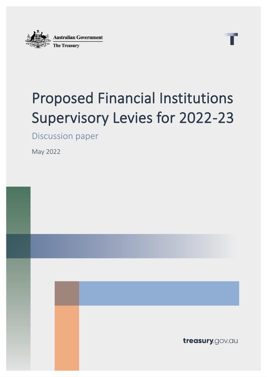

# Proposed Financial Institutions Supervisory Levies for 2022-23

Discussion paper

May 2022

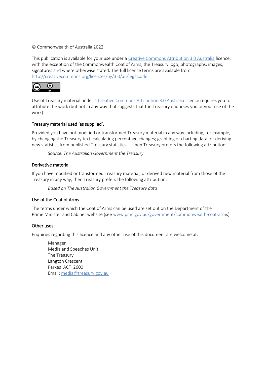#### © Commonwealth of Australia 2022

This publication is available for your use under a [Creative Commons Attribution 3.0 Australia](http://creativecommons.org/licenses/by/3.0/au/deed.en) licence, with the exception of the Commonwealth Coat of Arms, the Treasury logo, photographs, images, signatures and where otherwise stated. The full licence terms are available from [http://creativecommons.org/licenses/by/3.0/au/legalcode.](http://creativecommons.org/licenses/by/3.0/au/legalcode)



Use of Treasury material under a [Creative Commons Attribution 3.0 Australia](http://creativecommons.org/licenses/by/3.0/au/deed.en) licence requires you to attribute the work (but not in any way that suggests that the Treasury endorses you or your use of the work).

#### Treasury material used 'as supplied'.

Provided you have not modified or transformed Treasury material in any way including, for example, by changing the Treasury text; calculating percentage changes; graphing or charting data; or deriving new statistics from published Treasury statistics — then Treasury prefers the following attribution:

*Source: The Australian Government the Treasury*

#### Derivative material

If you have modified or transformed Treasury material, or derived new material from those of the Treasury in any way, then Treasury prefers the following attribution:

*Based on The Australian Government the Treasury data*

#### Use of the Coat of Arms

The terms under which the Coat of Arms can be used are set out on the Department of the Prime Minister and Cabinet website (see [www.pmc.gov.au/government/commonwealth-coat-arms](http://www.pmc.gov.au/government/commonwealth-coat-arm)).

#### Other uses

Enquiries regarding this licence and any other use of this document are welcome at:

Manager Media and Speeches Unit The Treasury Langton Crescent Parkes ACT 2600 Email: [media@treasury.gov.au](mailto:media@treasury.gov.au)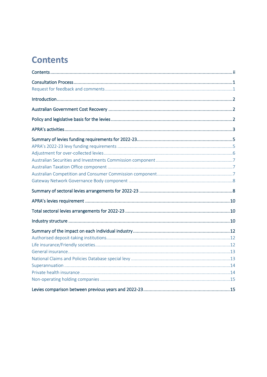## <span id="page-2-0"></span>**Contents**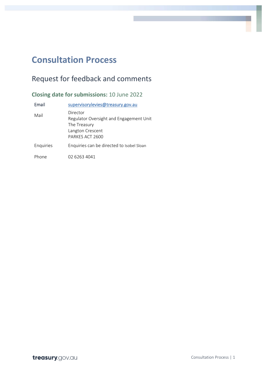### <span id="page-3-0"></span>**Consultation Process**

### <span id="page-3-1"></span>Request for feedback and comments

**Closing date for submissions:** 10 June 2022

| Email     | supervisorylevies@treasury.gov.au                                                                          |
|-----------|------------------------------------------------------------------------------------------------------------|
| Mail      | Director<br>Regulator Oversight and Engagement Unit<br>The Treasury<br>Langton Crescent<br>PARKES ACT 2600 |
| Enquiries | Enquiries can be directed to Isobel Sloan                                                                  |
| Phone     | 02 6263 4041                                                                                               |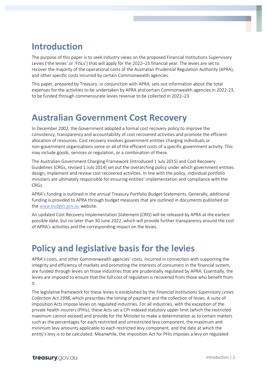### <span id="page-4-0"></span>**Introduction**

The purpose of this paper is to seek industry views on the proposed Financial Institutions Supervisory Levies ('the levies' or 'FISLs') that will apply for the 2022–23 financial year. The levies are set to recover the majority of the operational costs of the Australian Prudential Regulation Authority (APRA), and other specific costs incurred by certain Commonwealth agencies.

This paper, prepared by Treasury, in conjunction with APRA, sets out information about the total expenses for the activities to be undertaken by APRA and certain Commonwealth agencies in 2022-23, to be funded through commensurate levies revenue to be collected in 2022–23.

### <span id="page-4-1"></span>**Australian Government Cost Recovery**

In December 2002, the Government adopted a formal cost recovery policy to improve the consistency, transparency and accountability of cost recovered activities and promote the efficient allocation of resources. Cost recovery involves government entities charging individuals or non-government organisations some or all of the efficient costs of a specific government activity. This may include goods, services or regulation, or a combination of these.

The Australian Government Charging Framework (introduced 1 July 2015) and Cost Recovery Guidelines (CRGs, revised 1 July 2014) set out the overarching policy under which government entities design, implement and review cost recovered activities. In line with the policy, individual portfolio ministers are ultimately responsible for ensuring entities' implementation and compliance with the CRGs.

APRA's funding is outlined in the annual Treasury Portfolio Budget Statements. Generally, additional funding is provided to APRA through budget measures that are outlined in documents published on the [www.budget.gov.au](http://www.budget.gov.au/) website.

An updated Cost Recovery Implementation Statement (CRIS) will be released by APRA at the earliest possible date, but no later than 30 June 2022, which will provide further transparency around the cost of APRA's activities and the corresponding impact on the levies.

### <span id="page-4-2"></span>**Policy and legislative basis for the levies**

APRA's costs, and other Commonwealth agencies' costs, incurred in connection with supporting the integrity and efficiency of markets and promoting the interests of consumers in the financial system, are funded through levies on those industries that are prudentially regulated by APRA. Essentially, the levies are imposed to ensure that the full cost of regulation is recovered from those who benefit from it.

The legislative framework for these levies is established by the *Financial Institutions Supervisory Levies Collection Act 1998*, which prescribes the timing of payment and the collection of levies. A suite of imposition Acts impose levies on regulated industries. For all industries, with the exception of the private health insurers (PHIs), these Acts set a CPI indexed statutory upper limit (which the restricted maximum cannot exceed) and provide for the Minister to make a determination as to certain matters such as the percentages for each restricted and unrestricted levy component, the maximum and minimum levy amounts applicable to each restricted levy component, and the date at which the entity's levy is to be calculated. Meanwhile, the imposition Act for PHIs imposes a levy on regulated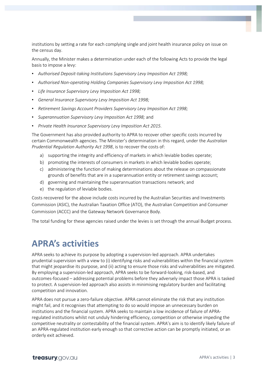institutions by setting a rate for each complying single and joint health insurance policy on issue on the census day.

Annually, the Minister makes a determination under each of the following Acts to provide the legal basis to impose a levy:

- *Authorised Deposit-taking Institutions Supervisory Levy Imposition Act 1998;*
- *Authorised Non-operating Holding Companies Supervisory Levy Imposition Act 1998;*
- *Life Insurance Supervisory Levy Imposition Act 1998;*
- *General Insurance Supervisory Levy Imposition Act 1998;*
- *Retirement Savings Account Providers Supervisory Levy Imposition Act 1998;*
- *Superannuation Supervisory Levy Imposition Act 1998;* and
- *Private Health Insurance Supervisory Levy Imposition Act 2015.*

The Government has also provided authority to APRA to recover other specific costs incurred by certain Commonwealth agencies. The Minister's determination in this regard, under the *Australian Prudential Regulation Authority Act 1998*, is to recover the costs of:

- a) supporting the integrity and efficiency of markets in which leviable bodies operate;
- b) promoting the interests of consumers in markets in which leviable bodies operate;
- c) administering the function of making determinations about the release on compassionate grounds of benefits that are in a superannuation entity or retirement savings account;
- d) governing and maintaining the superannuation transactions network; and
- e) the regulation of leviable bodies.

Costs recovered for the above include costs incurred by the Australian Securities and Investments Commission (ASIC), the Australian Taxation Office (ATO), the Australian Competition and Consumer Commission (ACCC) and the Gateway Network Governance Body.

<span id="page-5-0"></span>The total funding for these agencies raised under the levies is set through the annual Budget process.

### **APRA's activities**

APRA seeks to achieve its purpose by adopting a supervision-led approach. APRA undertakes prudential supervision with a view to (i) identifying risks and vulnerabilities within the financial system that might jeopardise its purpose, and (ii) acting to ensure those risks and vulnerabilities are mitigated. By employing a supervision-led approach, APRA seeks to be forward-looking, risk-based, and outcomes-focused – addressing potential problems before they adversely impact those APRA is tasked to protect. A supervision-led approach also assists in minimising regulatory burden and facilitating competition and innovation.

APRA does not pursue a zero-failure objective. APRA cannot eliminate the risk that any institution might fail, and it recognises that attempting to do so would impose an unnecessary burden on institutions and the financial system. APRA seeks to maintain a low incidence of failure of APRAregulated institutions whilst not unduly hindering efficiency, competition or otherwise impeding the competitive neutrality or contestability of the financial system. APRA's aim is to identify likely failure of an APRA-regulated institution early enough so that corrective action can be promptly initiated, or an orderly exit achieved.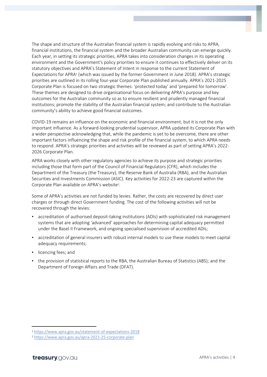The shape and structure of the Australian financial system is rapidly evolving and risks to APRA, financial institutions, the financial system and the broader Australian community can emerge quickly. Each year, in setting its strategic priorities, APRA takes into consideration changes in its operating environment and the Government's policy priorities to ensure it continues to effectively deliver on its statutory objectives and APRA's Statement of Intent in response to the current Statement of Expectations for APRA<sup>1</sup> (which was issued by the former Government in June 2018). APRA's strategic priorities are outlined in its rolling four-year Corporate Plan published annually. APRA's 2021-2025 Corporate Plan is focused on two strategic themes: 'protected today' and 'prepared for tomorrow'. These themes are designed to drive organisational focus on delivering APRA's purpose and key outcomes for the Australian community so as to ensure resilient and prudently managed financial institutions; promote the stability of the Australian financial system; and contribute to the Australian community's ability to achieve good financial outcomes.

COVID-19 remains an influence on the economic and financial environment, but it is not the only important influence. As a forward-looking prudential supervisor, APRA updated its Corporate Plan with a wider perspective acknowledging that, while the pandemic is yet to be overcome, there are other important factors influencing the shape and risk profile of the financial system, to which APRA needs to respond. APRA's strategic priorities and activities will be reviewed as part of setting APRA's 2022- 2026 Corporate Plan.

APRA works closely with other regulatory agencies to achieve its purpose and strategic priorities including those that form part of the Council of Financial Regulators (CFR), which includes the Department of the Treasury (the Treasury), the Reserve Bank of Australia (RBA), and the Australian Securities and Investments Commission (ASIC). Key activities for 2022-23 are captured within the Corporate Plan available on APRA's website<sup>2</sup>.

Some of APRA's activities are not funded by levies. Rather, the costs are recovered by direct user charges or through direct Government funding. The cost of the following activities will not be recovered through the levies:

- accreditation of authorised deposit-taking institutions (ADIs) with sophisticated risk management systems that are adopting 'advanced' approaches for determining capital adequacy permitted under the Basel II Framework, and ongoing specialised supervision of accredited ADIs;
- accreditation of general insurers with robust internal models to use these models to meet capital adequacy requirements;
- licencing fees; and
- the provision of statistical reports to the RBA, the Australian Bureau of Statistics (ABS); and the Department of Foreign Affairs and Trade (DFAT).

<sup>1</sup> <https://www.apra.gov.au/statement-of-expectations-2018>

<sup>2</sup> <https://www.apra.gov.au/apra-2021-25-corporate-plan>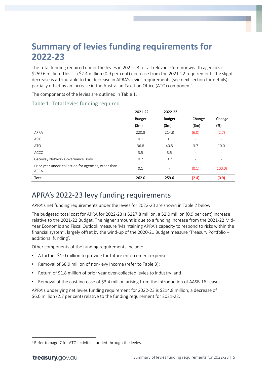### <span id="page-7-0"></span>**Summary of levies funding requirements for 2022-23**

The total funding required under the levies in 2022-23 for all relevant Commonwealth agencies is \$259.6 million. This is a \$2.4 million (0.9 per cent) decrease from the 2021-22 requirement. The slight decrease is attributable to the decrease in APRA's levies requirements (see next section for details) partially offset by an increase in the Australian Taxation Office (ATO) component<sup>3</sup> .

The components of the levies are outlined in Table 1.

|                                                              | 2021-22       | 2022-23                  |                          |                          |
|--------------------------------------------------------------|---------------|--------------------------|--------------------------|--------------------------|
|                                                              | <b>Budget</b> | <b>Budget</b>            | Change                   | Change                   |
|                                                              | (Sm)          | (Sm)                     | (Sm)                     | (%)                      |
| APRA                                                         | 220.8         | 214.8                    | (6.0)                    | (2.7)                    |
| <b>ASIC</b>                                                  | 0.1           | 0.1                      | ٠                        | ٠                        |
| ATO                                                          | 36.8          | 40.5                     | 3.7                      | 10.0                     |
| <b>ACCC</b>                                                  | 3.5           | 3.5                      | $\overline{\phantom{0}}$ | $\overline{\phantom{a}}$ |
| Gateway Network Governance Body                              | 0.7           | 0.7                      | -                        | $\overline{\phantom{a}}$ |
| Prior year under-collection for agencies, other than<br>APRA | 0.1           | $\overline{\phantom{0}}$ | (0.1)                    | (100.0)                  |
| Total                                                        | 262.0         | 259.6                    | (2.4)                    | (0.9)                    |

#### Table 1: Total levies funding required

### <span id="page-7-1"></span>APRA's 2022-23 levy funding requirements

APRA's net funding requirements under the levies for 2022-23 are shown in Table 2 below.

The budgeted total cost for APRA for 2022-23 is \$227.8 million, a \$2.0 million (0.9 per cent) increase relative to the 2021-22 Budget. The higher amount is due to a funding increase from the 2021-22 Mid-Year Economic and Fiscal Outlook measure 'Maintaining APRA's capacity to respond to risks within the financial system', largely offset by the wind-up of the 2020-21 Budget measure 'Treasury Portfolio – additional funding'.

Other components of the funding requirements include:

- A further \$1.0 million to provide for future enforcement expenses;
- Removal of \$8.9 million of non-levy income (refer to Table 3);
- Return of \$1.8 million of prior year over-collected levies to industry; and
- Removal of the cost increase of \$3.4 million arising from the introduction of AASB-16 Leases.

APRA's underlying net levies funding requirement for 2022-23 is \$214.8 million, a decrease of \$6.0 million (2.7 per cent) relative to the funding requirement for 2021-22.

<sup>&</sup>lt;sup>3</sup> Refer to page 7 for ATO activities funded through the levies.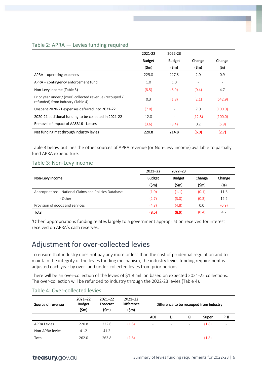#### Table 2: APRA — Levies funding required

|                                                                                              | 2021-22       | 2022-23                  |        |         |
|----------------------------------------------------------------------------------------------|---------------|--------------------------|--------|---------|
|                                                                                              | <b>Budget</b> | <b>Budget</b>            | Change | Change  |
|                                                                                              | (Sm)          | $(\mathsf{5m})$          | (Sm)   | (%)     |
| $APRA$ – operating expenses                                                                  | 225.8         | 227.8                    | 2.0    | 0.9     |
| APRA – contingency enforcement fund                                                          | 1.0           | 1.0                      |        |         |
| Non-Levy income (Table 3)                                                                    | (8.5)         | (8.9)                    | (0.4)  | 4.7     |
| Prior year under / (over) collected revenue (recouped /<br>refunded) from industry (Table 4) | 0.3           | (1.8)                    | (2.1)  | (642.9) |
| Unspent 2020-21 expenses deferred into 2021-22                                               | (7.0)         | $\overline{\phantom{a}}$ | 7.0    | (100.0) |
| 2020-21 additional funding to be collected in 2021-22                                        | 12.8          | $\overline{\phantom{a}}$ | (12.8) | (100.0) |
| Removal of impact of AASB16 - Leases                                                         | (3.6)         | (3.4)                    | 0.2    | (5.9)   |
| Net funding met through industry levies                                                      | 220.8         | 214.8                    | (6.0)  | (2.7)   |

Table 3 below outlines the other sources of APRA revenue (or Non-Levy income) available to partially fund APRA expenditure.

#### Table 3: Non-Levy income

|                                                        | $2021 - 22$   | $2022 - 23$   |        |        |
|--------------------------------------------------------|---------------|---------------|--------|--------|
| Non-Levy income                                        | <b>Budget</b> | <b>Budget</b> | Change | Change |
|                                                        | (\$m)         | (Sm)          | (\$m)  | (%)    |
| Appropriations - National Claims and Policies Database | (1.0)         | (1.1)         | (0.1)  | 11.6   |
| - Other                                                | (2.7)         | (3.0)         | (0.3)  | 12.2   |
| Provision of goods and services                        | (4.8)         | (4.8)         | 0.0    | (0.9)  |
| Total                                                  | (8.5)         | (8.9)         | (0.4)  | 4.7    |

'Other' appropriations funding relates largely to a government appropriation received for interest received on APRA's cash reserves.

### <span id="page-8-0"></span>Adjustment for over-collected levies

To ensure that industry does not pay any more or less than the cost of prudential regulation and to maintain the integrity of the levies funding mechanism, the industry levies funding requirement is adjusted each year by over- and under-collected levies from prior periods.

There will be an over-collection of the levies of \$1.8 million based on expected 2021-22 collections. The over-collection will be refunded to industry through the 2022-23 levies (Table 4).

| Source of revenue  | $2021 - 22$<br><b>Budget</b><br>(5m) | $2021 - 22$<br>Forecast<br>(\$m) | $2021 - 22$<br><b>Difference</b><br>(Sm) | Difference to be recouped from industry |                          |                          |                          |     |
|--------------------|--------------------------------------|----------------------------------|------------------------------------------|-----------------------------------------|--------------------------|--------------------------|--------------------------|-----|
|                    |                                      |                                  |                                          | <b>ADI</b>                              | u                        | GI                       | Super                    | PHI |
| <b>APRA Levies</b> | 220.8                                | 222.6                            | (1.8)                                    | ۰                                       | $\overline{\phantom{a}}$ | $\overline{\phantom{a}}$ | (1.8)                    | -   |
| Non-APRA levies    | 41.2                                 | 41.2                             | $\overline{\phantom{a}}$                 | ٠                                       | $\overline{\phantom{a}}$ | $\overline{\phantom{a}}$ | $\overline{\phantom{a}}$ | ۰   |
| Total              | 262.0                                | 263.8                            | (1.8)                                    | ۰                                       | $\overline{\phantom{a}}$ | $\overline{\phantom{a}}$ | (1.8)                    |     |

#### Table 4: Over-collected levies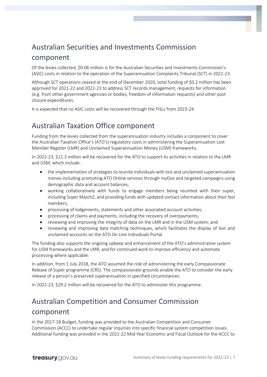### <span id="page-9-0"></span>Australian Securities and Investments Commission component

Of the levies collected, \$0.06 million is for the Australian Securities and Investments Commission's (ASIC) costs in relation to the operation of the Superannuation Complaints Tribunal (SCT) in 2022-23.

Although SCT operations ceased at the end of December 2020, total funding of \$0.2 million has been approved for 2021-22 and 2022-23 to address SCT records management, requests for information (e.g. from other government agencies or bodies, freedom of information requests) and other post closure expenditures.

It is expected that no ASIC costs will be recovered through the FISLs from 2023-24.

### <span id="page-9-1"></span>Australian Taxation Office component

Funding from the levies collected from the superannuation industry includes a component to cover the Australian Taxation Office's (ATO's) regulatory costs in administering the Superannuation Lost Member Register (LMR) and Unclaimed Superannuation Money (USM) frameworks.

In 2022-23, \$11.3 million will be recovered for the ATO to support its activities in relation to the LMR and USM, which include:

- the implementation of strategies to reunite individuals with lost and unclaimed superannuation money including promoting ATO Online services through myGov and targeted campaigns using demographic data and account balances;
- working collaboratively with funds to engage members being reunited with their super, including Super Match2, and providing funds with updated contact information about their lost members;
- processing of lodgements, statements and other associated account activities;
- processing of claims and payments, including the recovery of overpayments;
- reviewing and improving the integrity of data on the LMR and in the USM system; and
- reviewing and improving data matching techniques, which facilitates the display of lost and unclaimed accounts on the ATO On Line Individuals Portal.

The funding also supports the ongoing upkeep and enhancement of the ATO's administrative system for USM frameworks and the LMR, and for continued work to improve efficiency and automate processing where applicable.

In addition, from 1 July 2018, the ATO assumed the role of administering the early Compassionate Release of Super programme (CRS). The compassionate grounds enable the ATO to consider the early release of a person's preserved superannuation in specified circumstances.

In 2022-23, \$29.2 million will be recovered for the ATO to administer this programme.

### <span id="page-9-2"></span>Australian Competition and Consumer Commission component

In the 2017-18 Budget, funding was provided to the Australian Competition and Consumer Commission (ACCC) to undertake regular inquiries into specific financial system competition issues. Additional funding was provided in the 2021-22 Mid-Year Economic and Fiscal Outlook for the ACCC to

treasury.gov.au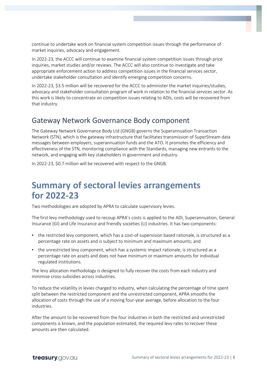continue to undertake work on financial system competition issues through the performance of market inquiries, advocacy and engagement.

In 2022-23, the ACCC will continue to examine financial system competition issues through price inquiries, market studies and/or reviews. The ACCC will also continue to investigate and take appropriate enforcement action to address competition issues in the financial services sector, undertake stakeholder consultation and identify emerging competition concerns.

In 2022-23, \$3.5 million will be recovered for the ACCC to administer the market inquiries/studies, advocacy and stakeholder consultation program of work in relation to the financial services sector. As this work is likely to concentrate on competition issues relating to ADIs, costs will be recovered from that industry.

### <span id="page-10-0"></span>Gateway Network Governance Body component

The Gateway Network Governance Body Ltd (GNGB) governs the Superannuation Transaction Network (STN), which is the gateway infrastructure that facilitates transmission of SuperStream data messages between employers, superannuation funds and the ATO. It promotes the efficiency and effectiveness of the STN, monitoring compliance with the Standards, managing new entrants to the network, and engaging with key stakeholders in government and industry.

<span id="page-10-1"></span>In 2022-23, \$0.7 million will be recovered with respect to the GNGB.

### **Summary of sectoral levies arrangements for 2022-23**

Two methodologies are adopted by APRA to calculate supervisory levies.

The first levy methodology used to recoup APRA's costs is applied to the ADI, Superannuation, General Insurance (GI) and Life Insurance and friendly societies (LI) industries. It has two components:

- the restricted levy component, which has a cost-of-supervision based rationale, is structured as a percentage rate on assets and is subject to minimum and maximum amounts; and
- the unrestricted levy component, which has a systemic impact rationale, is structured as a percentage rate on assets and does not have minimum or maximum amounts for individual regulated institutions.

The levy allocation methodology is designed to fully recover the costs from each industry and minimise cross-subsidies across industries.

To reduce the volatility in levies charged to industry, when calculating the percentage of time spent split between the restricted component and the unrestricted component, APRA smooths the allocation of costs through the use of a moving four-year average, before allocation to the four industries.

After the amount to be recovered from the four industries in both the restricted and unrestricted components is known, and the population estimated, the required levy rates to recover these amounts are then calculated.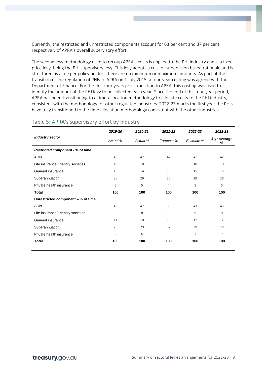Currently, the restricted and unrestricted components account for 63 per cent and 37 per cent respectively of APRA's overall supervisory effort.

The second levy methodology used to recoup APRA's costs is applied to the PHI industry and is a fixed price levy, being the PHI supervisory levy. This levy adopts a cost-of-supervision based rationale and is structured as a fee per policy holder. There are no minimum or maximum amounts. As part of the transition of the regulation of PHIs to APRA on 1 July 2015, a four-year costing was agreed with the Department of Finance. For the first four years post-transition to APRA, this costing was used to identify the amount of the PHI levy to be collected each year. Since the end of this four-year period, APRA has been transitioning to a time-allocation methodology to allocate costs to the PHI industry, consistent with the methodology for other regulated industries. 2022-23 marks the first year the PHIs have fully transitioned to the time allocation methodology consistent with the other industries.

|                                    | 2019-20  | 2020-21  | 2021-22    | 2022-23        | 2022-23           |
|------------------------------------|----------|----------|------------|----------------|-------------------|
| <b>Industry sector</b>             | Actual % | Actual % | Forecast % | Estimate %     | 4-yr average<br>% |
| Restricted component - % of time   |          |          |            |                |                   |
| ADIs                               | 43       | 42       | 42         | 41             | 42                |
| Life insurance/Friendly societies  | 10       | 10       | 9          | 10             | 10                |
| General insurance                  | 15       | 14       | 15         | 15             | 15                |
| Superannuation                     | 26       | 29       | 30         | 29             | 28                |
| Private health insurance           | 6        | 5        | 4          | 5              | 5                 |
| <b>Total</b>                       | 100      | 100      | 100        | 100            | 100               |
| Unrestricted component - % of time |          |          |            |                |                   |
| ADIs                               | 45       | 47       | 38         | 43             | 43                |
| Life insurance/Friendly societies  | 9        | 8        | 10         | 9              | 9                 |
| General insurance                  | 11       | 10       | 15         | 12             | 12                |
| Superannuation                     | 26       | 29       | 32         | 29             | 29                |
| Private health insurance           | 9        | 6        | 5          | $\overline{7}$ | $\overline{7}$    |
| <b>Total</b>                       | 100      | 100      | 100        | 100            | 100               |

#### Table 5: APRA's supervisory effort by industry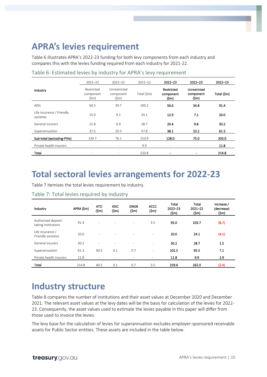### <span id="page-12-0"></span>**APRA's levies requirement**

Table 6 illustrates APRA's 2022-23 funding for both levy components from each industry and compares this with the levies funding required from each industry for 2021-22.

|                                        | $2021 - 22$                                | $2021 - 22$                                  | $2021 - 22$ | $2022 - 23$                      | $2022 - 23$                                  | $2022 - 23$ |
|----------------------------------------|--------------------------------------------|----------------------------------------------|-------------|----------------------------------|----------------------------------------------|-------------|
| Industry                               | Restricted<br>component<br>$(\mathsf{Sm})$ | Unrestricted<br>component<br>$(\mathsf{5m})$ | Total (\$m) | Restricted<br>component<br>(\$m) | Unrestricted<br>component<br>$(\mathsf{Sm})$ | Total (\$m) |
| <b>ADIS</b>                            | 60.5                                       | 39.7                                         | 100.2       | 56.6                             | 34.8                                         | 91.4        |
| Life insurance / Friendly<br>societies | 15.0                                       | 9.1                                          | 24.1        | 12.9                             | 7.1                                          | 20.0        |
| General insurers                       | 21.8                                       | 6.9                                          | 28.7        | 20.4                             | 9.8                                          | 30.2        |
| Superannuation                         | 37.5                                       | 20.3                                         | 57.8        | 38.1                             | 23.2                                         | 61.3        |
| Sub-total (excluding-PHIs)             | 134.7                                      | 76.1                                         | 210.9       | 128.0                            | 75.0                                         | 203.0       |
| Private health insurers                | $\overline{\phantom{a}}$                   | -                                            | 9.9         | $\overline{\phantom{a}}$         | $\overline{\phantom{a}}$                     | 11.8        |
| Total                                  | $\overline{\phantom{a}}$                   |                                              | 220.8       |                                  | $\blacksquare$                               | 214.8       |

#### Table 6: Estimated levies by industry for APRA's levy requirement

### <span id="page-12-1"></span>**Total sectoral levies arrangements for 2022-23**

Table 7 itemises the total levies requirement by industry.

| Industry                                   | APRA (\$m) | <b>ATO</b><br>(Sm)       | <b>ASIC</b><br>(\$m)     | <b>GNGB</b><br>(\$m)     | <b>ACCC</b><br>$(\mathsf{Sm})$ | <b>Total</b><br>$2022 - 23$<br>(\$m) | Total<br>$2021 - 22$<br>(Sm) | Increase /<br>(decrease)<br>(\$m) |
|--------------------------------------------|------------|--------------------------|--------------------------|--------------------------|--------------------------------|--------------------------------------|------------------------------|-----------------------------------|
| Authorised deposit-<br>taking institutions | 91.4       | з.                       |                          | ٠                        | 3.5                            | 95.0                                 | 103.7                        | (8.7)                             |
| Life insurance /<br>Friendly societies     | 20.0       | $\overline{\phantom{a}}$ | $\overline{\phantom{a}}$ |                          | $\overline{\phantom{a}}$       | 20.0                                 | 24.1                         | (4.1)                             |
| General insurers                           | 30.2       | $\overline{\phantom{a}}$ | $\overline{\phantom{a}}$ | $\overline{\phantom{a}}$ | $\overline{\phantom{a}}$       | 30.2                                 | 28.7                         | 1.5                               |
| Superannuation                             | 61.3       | 40.5                     | 0.1                      | 0.7                      | -                              | 102.5                                | 95.5                         | 7.1                               |
| Private health insurers                    | 11.8       | $\overline{\phantom{a}}$ | -                        |                          | ۰                              | 11.8                                 | 9.9                          | 1.9                               |
| <b>Total</b>                               | 214.8      | 40.5                     | 0.1                      | 0.7                      | 3.5                            | 259.6                                | 262.0                        | (2.4)                             |

Table 7: Total levies required by industry

### <span id="page-12-2"></span>**Industry structure**

Table 8 compares the number of institutions and their asset values at December 2020 and December 2021. The relevant asset values at the levy dates will be the basis for calculation of the levies for 2022- 23. Consequently, the asset values used to estimate the levies payable in this paper will differ from those used to invoice the levies.

The levy base for the calculation of levies for superannuation excludes employer-sponsored receivable assets for Public Sector entities. These assets are included in the table below.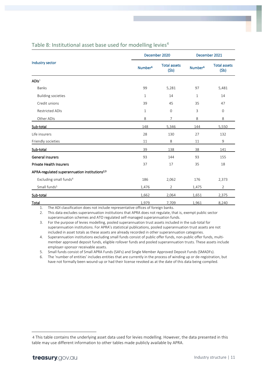|                                                           |                     | December 2020               | December 2021       |                             |  |
|-----------------------------------------------------------|---------------------|-----------------------------|---------------------|-----------------------------|--|
| Industry sector                                           | Number <sup>6</sup> | <b>Total assets</b><br>(5b) | Number <sup>6</sup> | <b>Total assets</b><br>(5b) |  |
| ADIs <sup>1</sup>                                         |                     |                             |                     |                             |  |
| <b>Banks</b>                                              | 99                  | 5,281                       | 97                  | 5,481                       |  |
| <b>Building societies</b>                                 | $\mathbf{1}$        | 14                          | $\mathbf{1}$        | 14                          |  |
| Credit unions                                             | 39                  | 45                          | 35                  | 47                          |  |
| <b>Restricted ADIs</b>                                    | $\mathbf{1}$        | 0                           | 3                   | $\mathbf 0$                 |  |
| Other ADIs                                                | 8                   | 7                           | 8                   | 8                           |  |
| Sub-total                                                 | 148                 | 5,346                       | 144                 | 5,550                       |  |
| Life insurers                                             | 28                  | 130                         | 27                  | 132                         |  |
| Friendly societies                                        | 11                  | 8                           | 11                  | 9                           |  |
| Sub-total                                                 | 39                  | 138                         | 38                  | 141                         |  |
| General insurers                                          | 93                  | 144                         | 93                  | 155                         |  |
| <b>Private Health Insurers</b>                            | 37                  | 17                          | 35                  | 18                          |  |
| APRA-regulated superannuation institutions <sup>2,3</sup> |                     |                             |                     |                             |  |
| Excluding small funds <sup>4</sup>                        | 186                 | 2,062                       | 176                 | 2,373                       |  |
| Small funds <sup>5</sup>                                  | 1,476               | $\overline{2}$              | 1,475               | $\overline{2}$              |  |
| Sub-total                                                 | 1,662               | 2,064                       | 1,651               | 2,375                       |  |
| Total                                                     | 1,979               | 7,709                       | 1,961               | 8,240                       |  |

#### Table 8: Institutional asset base used for modelling levies<sup>4</sup>

1. The ADI classification does not include representative offices of foreign banks.

2. This data excludes superannuation institutions that APRA does not regulate, that is, exempt public sector superannuation schemes and ATO regulated self-managed superannuation funds.

3. For the purpose of levies modelling, pooled superannuation trust assets included in the sub-total for superannuation institutions. For APRA's statistical publications, pooled superannuation trust assets are not included in asset totals as these assets are already recorded in other superannuation categories.

4. Superannuation institutions excluding small funds consist of public offer funds, non-public offer funds, multimember approved deposit funds, eligible rollover funds and pooled superannuation trusts. These assets include employer-sponsor receivable assets.

5. Small funds consist of Small APRA Funds (SAFs) and Single Member Approved Deposit Funds (SMADFs).

6. The 'number of entities' includes entities that are currently in the process of winding up or de-registration, but have not formally been wound-up or had their license revoked as at the date of this data being compiled.

<sup>4</sup> This table contains the underlying asset data used for levies modelling. However, the data presented in this table may use different information to other tables made publicly available by APRA.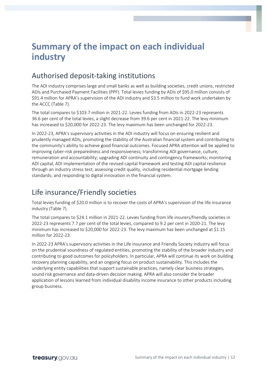### <span id="page-14-0"></span>**Summary of the impact on each individual industry**

### <span id="page-14-1"></span>Authorised deposit-taking institutions

The ADI industry comprises large and small banks as well as building societies, credit unions, restricted ADIs and Purchased Payment Facilities (PPF). Total levies funding by ADIs of \$95.0 million consists of \$91.4 million for APRA's supervision of the ADI industry and \$3.5 million to fund work undertaken by the ACCC (Table 7).

The total compares to \$103.7 million in 2021-22. Levies funding from ADIs in 2022-23 represents 36.6 per cent of the total levies, a slight decrease from 39.6 per cent in 2021-22. The levy minimum has increased to \$20,000 for 2022-23. The levy maximum has been unchanged for 2022-23.

In 2022-23, APRA's supervisory activities in the ADI industry will focus on ensuring resilient and prudently managed ADIs, promoting the stability of the Australian financial system and contributing to the community's ability to achieve good financial outcomes. Focused APRA attention will be applied to improving cyber-risk preparedness and responsiveness; transforming ADI governance, culture, remuneration and accountability; upgrading ADI continuity and contingency frameworks; monitoring ADI capital, ADI implementation of the revised capital framework and testing ADI capital resilience through an industry stress test; assessing credit quality, including residential mortgage lending standards; and responding to digital innovation in the financial system.

### <span id="page-14-2"></span>Life insurance/Friendly societies

Total levies funding of \$20.0 million is to recover the costs of APRA's supervision of the life insurance industry (Table 7).

The total compares to \$24.1 million in 2021-22. Levies funding from life insurers/friendly societies in 2022-23 represents 7.7 per cent of the total levies, compared to 9.2 per cent in 2020-21. The levy minimum has increased to \$20,000 for 2022-23. The levy maximum has been unchanged at \$1.15 million for 2022-23.

In 2022-23 APRA's supervisory activities in the Life Insurance and Friendly Society industry will focus on the prudential soundness of regulated entities, promoting the stability of the broader industry and contributing to good outcomes for policyholders. In particular, APRA will continue its work on building recovery planning capability, and an ongoing focus on product sustainability. This includes the underlying entity capabilities that support sustainable practices, namely clear business strategies, sound risk governance and data-driven decision making. APRA will also consider the broader application of lessons learned from individual disability income insurance to other products including group business.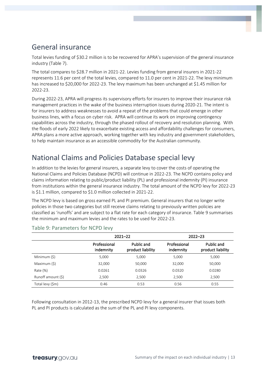### <span id="page-15-0"></span>General insurance

Total levies funding of \$30.2 million is to be recovered for APRA's supervision of the general insurance industry (Table 7).

The total compares to \$28.7 million in 2021-22. Levies funding from general insurers in 2021-22 represents 11.6 per cent of the total levies, compared to 11.0 per cent in 2021-22. The levy minimum has increased to \$20,000 for 2022-23. The levy maximum has been unchanged at \$1.45 million for 2022-23.

During 2022-23, APRA will progress its supervisory efforts for insurers to improve their insurance risk management practices in the wake of the business interruption issues during 2020-21. The intent is for insurers to address weaknesses to avoid a repeat of the problems that could emerge in other business lines, with a focus on cyber risk. APRA will continue its work on improving contingency capabilities across the industry, through the phased rollout of recovery and resolution planning. With the floods of early 2022 likely to exacerbate existing access and affordability challenges for consumers, APRA plans a more active approach, working together with key industry and government stakeholders, to help maintain insurance as an accessible commodity for the Australian community.

### <span id="page-15-1"></span>National Claims and Policies Database special levy

In addition to the levies for general insurers, a separate levy to cover the costs of operating the National Claims and Policies Database (NCPD) will continue in 2022-23. The NCPD contains policy and claims information relating to public/product liability (PL) and professional indemnity (PI) insurance from institutions within the general insurance industry. The total amount of the NCPD levy for 2022-23 is \$1.1 million, compared to \$1.0 million collected in 2021-22.

The NCPD levy is based on gross earned PL and PI premium. General insurers that no longer write policies in those two categories but still receive claims relating to previously written policies are classified as 'runoffs' and are subject to a flat rate for each category of insurance. Table 9 summarises the minimum and maximum levies and the rates to be used for 2022-23.

|                    |                           | $2021 - 22$                     |                           | $2022 - 23$                     |
|--------------------|---------------------------|---------------------------------|---------------------------|---------------------------------|
|                    | Professional<br>indemnity | Public and<br>product liability | Professional<br>indemnity | Public and<br>product liability |
| Minimum (\$)       | 5,000                     | 5,000                           | 5,000                     | 5,000                           |
| Maximum (\$)       | 32,000                    | 50,000                          | 32,000                    | 50,000                          |
| Rate $(\%)$        | 0.0261                    | 0.0326                          | 0.0320                    | 0.0280                          |
| Runoff amount (\$) | 2,500                     | 2,500                           | 2,500                     | 2,500                           |
| Total levy (\$m)   | 0.46                      | 0.53                            | 0.56                      | 0.55                            |

#### Table 9: Parameters for NCPD levy

Following consultation in 2012-13, the prescribed NCPD levy for a general insurer that issues both PL and PI products is calculated as the sum of the PL and PI levy components.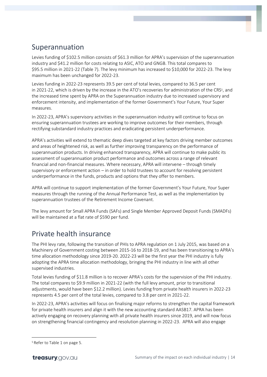### <span id="page-16-0"></span>Superannuation

Levies funding of \$102.5 million consists of \$61.3 million for APRA's supervision of the superannuation industry and \$41.2 million for costs relating to ASIC, ATO and GNGB. This total compares to \$95.5 million in 2021-22 (Table 7). The levy minimum has increased to \$10,000 for 2022-23. The levy maximum has been unchanged for 2022-23.

Levies funding in 2022-23 represents 39.5 per cent of total levies, compared to 36.5 per cent in 2021-22, which is driven by the increase in the ATO's recoveries for administration of the CRS<sup>5</sup>, and the increased time spent by APRA on the Superannuation industry due to increased supervisory and enforcement intensity, and implementation of the former Government's Your Future, Your Super measures.

In 2022-23, APRA's supervisory activities in the superannuation industry will continue to focus on ensuring superannuation trustees are working to improve outcomes for their members, through rectifying substandard industry practices and eradicating persistent underperformance.

APRA's activities will extend to thematic deep dives targeted at key factors driving member outcomes and areas of heightened risk, as well as further improving transparency on the performance of superannuation products. In driving enhanced transparency, APRA will continue to make public its assessment of superannuation product performance and outcomes across a range of relevant financial and non-financial measures. Where necessary, APRA will intervene – through timely supervisory or enforcement action – in order to hold trustees to account for resolving persistent underperformance in the funds, products and options that they offer to members.

APRA will continue to support implementation of the former Government's Your Future, Your Super measures through the running of the Annual Performance Test, as well as the implementation by superannuation trustees of the Retirement Income Covenant.

The levy amount for Small APRA Funds (SAFs) and Single Member Approved Deposit Funds (SMADFs) will be maintained at a flat rate of \$590 per fund.

### <span id="page-16-1"></span>Private health insurance

The PHI levy rate, following the transition of PHIs to APRA regulation on 1 July 2015, was based on a Machinery of Government costing between 2015-16 to 2018-19, and has been transitioning to APRA's time allocation methodology since 2019-20. 2022-23 will be the first year the PHI industry is fully adopting the APRA time allocation methodology, bringing the PHI industry in line with all other supervised industries.

Total levies funding of \$11.8 million is to recover APRA's costs for the supervision of the PHI industry. The total compares to \$9.9 million in 2021-22 (with the full levy amount, prior to transitional adjustments, would have been \$12.2 million). Levies funding from private health insurers in 2022-23 represents 4.5 per cent of the total levies, compared to 3.8 per cent in 2021-22.

In 2022-23, APRA's activities will focus on finalising major reforms to strengthen the capital framework for private health insurers and align it with the new accounting standard AASB17. APRA has been actively engaging on recovery planning with all private health insurers since 2019, and will now focus on strengthening financial contingency and resolution planning in 2022-23. APRA will also engage

<sup>5</sup> Refer to Table 1 on page 5.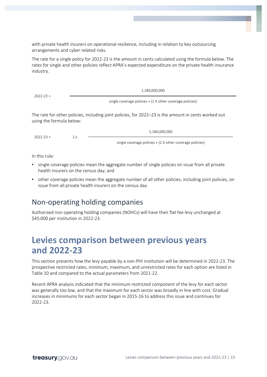with private health insurers on operational resilience, including in relation to key outsourcing arrangements and cyber related risks.

The rate for a single policy for 2022-23 is the amount in cents calculated using the formula below. The rates for single and other policies reflect APRA's expected expenditure on the private health insurance industry.

 $2022 - 23 =$ 

1,180,000,000

single coverage policies + (2 X other coverage policies)

The rate for other policies, including joint policies, for 2022–23 is the amount in cents worked out using the formula below:

 $2022-23 = 2x$ 

single coverage policies + (2 X other coverage policies)

1,180,000,000

In this rule:

- single coverage policies mean the aggregate number of single policies on issue from all private health insurers on the census day; and
- other coverage policies mean the aggregate number of all other policies, including joint policies, on issue from all private health insurers on the census day.

### <span id="page-17-0"></span>Non-operating holding companies

Authorised non-operating holding companies (NOHCs) will have their flat fee levy unchanged at \$45,000 per institution in 2022-23.

### <span id="page-17-1"></span>**Levies comparison between previous years and 2022-23**

This section presents how the levy payable by a non-PHI institution will be determined in 2022-23. The prospective restricted rates, minimum, maximum, and unrestricted rates for each option are listed in Table 10 and compared to the actual parameters from 2021-22.

Recent APRA analysis indicated that the minimum restricted component of the levy for each sector was generally too low, and that the maximum for each sector was broadly in line with cost. Gradual increases in minimums for each sector began in 2015-16 to address this issue and continues for 2022-23.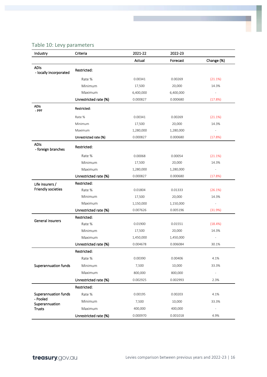#### Table 10: Levy parameters

| Industry                              | Criteria              | 2021-22   | 2022-23   |                          |
|---------------------------------------|-----------------------|-----------|-----------|--------------------------|
|                                       |                       | Actual    | Forecast  | Change (%)               |
| <b>ADIs</b><br>- locally incorporated | Restricted:           |           |           |                          |
|                                       | Rate %                | 0.00341   | 0.00269   | (21.1%)                  |
|                                       | Minimum               | 17,500    | 20,000    | 14.3%                    |
|                                       | Maximum               | 6,400,000 | 6,400,000 |                          |
|                                       | Unrestricted rate (%) | 0.000827  | 0.000680  | (17.8%)                  |
| <b>ADIs</b><br>- PPF                  | Restricted:           |           |           |                          |
|                                       | Rate %                | 0.00341   | 0.00269   | (21.1%)                  |
|                                       | Minimum               | 17,500    | 20,000    | 14.3%                    |
|                                       | Maximum               | 1,280,000 | 1,280,000 |                          |
|                                       | Unrestricted rate (%) | 0.000827  | 0.000680  | (17.8%)                  |
| <b>ADIs</b><br>- foreign branches     | Restricted:           |           |           |                          |
|                                       | Rate %                | 0.00068   | 0.00054   | (21.1%)                  |
|                                       | Minimum               | 17,500    | 20,000    | 14.3%                    |
|                                       | Maximum               | 1,280,000 | 1,280,000 | $\overline{\phantom{a}}$ |
|                                       | Unrestricted rate (%) | 0.000827  | 0.000680  | (17.8%)                  |
| Life insurers /                       | Restricted:           |           |           |                          |
| Friendly societies                    | Rate %                | 0.01804   | 0.01333   | (26.1%)                  |
|                                       | Minimum               | 17,500    | 20,000    | 14.3%                    |
|                                       | Maximum               | 1,150,000 | 1,150,000 |                          |
|                                       | Unrestricted rate (%) | 0.007626  | 0.005196  | (31.9%)                  |
| <b>General insurers</b>               | Restricted:           |           |           |                          |
|                                       | Rate %                | 0.01900   | 0.01551   | (18.4%)                  |
|                                       | Minimum               | 17,500    | 20,000    | 14.3%                    |
|                                       | Maximum               | 1,450,000 | 1,450,000 |                          |
|                                       | Unrestricted rate (%) | 0.004678  | 0.006084  | 30.1%                    |
|                                       | Restricted:           |           |           |                          |
|                                       | Rate %                | 0.00390   | 0.00406   | 4.1%                     |
| <b>Superannuation funds</b>           | Minimum               | 7,500     | 10,000    | 33.3%                    |
|                                       | Maximum               | 800,000   | 800,000   |                          |
|                                       | Unrestricted rate (%) | 0.002925  | 0.002993  | 2.3%                     |
|                                       | Restricted:           |           |           |                          |
| Superannuation funds                  | Rate %                | 0.00195   | 0.00203   | 4.1%                     |
| - Pooled                              | Minimum               | 7,500     | 10,000    | 33.3%                    |
| Superannuation<br><b>Trusts</b>       | Maximum               | 400,000   | 400,000   |                          |
|                                       | Unrestricted rate (%) | 0.000970  | 0.001018  | 4.9%                     |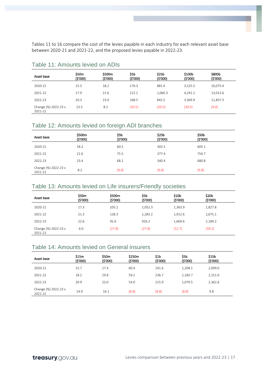Tables 11 to 16 compare the cost of the levies payable in each industry for each relevant asset base between 2020-21 and 2021-22, and the proposed levies payable in 2022-23.

| Asset base                      | \$50m<br>(\$'000) | \$500m<br>(\$'000) | \$5b<br>(5'000) | \$25b<br>(\$'000) | \$100b<br>(5'000) | \$800b<br>(5'000) |
|---------------------------------|-------------------|--------------------|-----------------|-------------------|-------------------|-------------------|
| 2020-21                         | 15.3              | 18.2               | 176.3           | 881.4             | 3,525.5           | 10,075.4          |
| 2021-22                         | 17.9              | 21.6               | 212.1           | 1,060.3           | 4,241.2           | 13,012.6          |
| 2022-23                         | 20.3              | 23.4               | 168.5           | 842.5             | 3,369.9           | 11,837.3          |
| Change (%) 2022-23 v<br>2021-22 | 13.5              | 8.2                | (20.5)          | (20.5)            | (20.5)            | (9.0)             |

#### Table 11: Amounts levied on ADIs

#### Table 12: Amounts levied on foreign ADI branches

| Asset base                      | \$500m<br>(5'000) | \$5b<br>(\$'000) | \$25b<br>(\$'000) | \$50 <sub>b</sub><br>(5'000) |
|---------------------------------|-------------------|------------------|-------------------|------------------------------|
| 2020-21                         | 18.2              | 60.5             | 302.5             | 605.1                        |
| 2021-22                         | 21.6              | 75.5             | 377.4             | 754.7                        |
| 2022-23                         | 23.4              | 68.1             | 340.4             | 680.8                        |
| Change (%) 2022-23 v<br>2021-22 | 8.2               | (9.8)            | (9.8)             | (9.8)                        |

#### Table 13: Amounts levied on Life insurers/Friendly societies

| Asset base                      | \$50m<br>(5'000) | \$500m<br>(\$'000) | S5b<br>(\$'000) | \$10b<br>(5'000) | \$20 <sub>b</sub><br>(5'000) |  |
|---------------------------------|------------------|--------------------|-----------------|------------------|------------------------------|--|
| 2020-21                         | 17.3             | 105.2              | 1,052.3         | 1,363.9          | 1,827.8                      |  |
| 2021-22                         | 21.3             | 128.3              | 1,283.2         | 1,912.6          | 2,675.1                      |  |
| 2022-23                         | 22.6             | 92.6               | 926.2           | 1,669.6          | 2,189.2                      |  |
| Change (%) 2022-23 v<br>2021-22 | 6.0              | (27.8)             | (27.8)          | (12.7)           | (18.2)                       |  |

#### Table 14: Amounts levied on General insurers

| Asset base                      | \$15m<br>(5'000) | \$50m<br>(\$'000) | \$250m<br>(\$'000) | \$1b<br>(\$'000) | \$5b<br>(\$'000) | \$15b<br>(\$'000) |  |
|---------------------------------|------------------|-------------------|--------------------|------------------|------------------|-------------------|--|
|                                 |                  |                   |                    |                  |                  |                   |  |
| 2020-21                         | 15.7             | 17.4              | 60.4               | 241.6            | 1,208.1          | 2.009.0           |  |
| 2021-22                         | 18.2             | 19.8              | 59.2               | 236.7            | 1.183.7          | 2,151.6           |  |
| 2022-23                         | 20.9             | 23.0              | 54.0               | 215.9            | 1.079.5          | 2,362.6           |  |
| Change (%) 2022-23 v<br>2021-22 | 14.9             | 16.1              | (8.8)              | (8.8)            | (8.8)            | 9.8               |  |